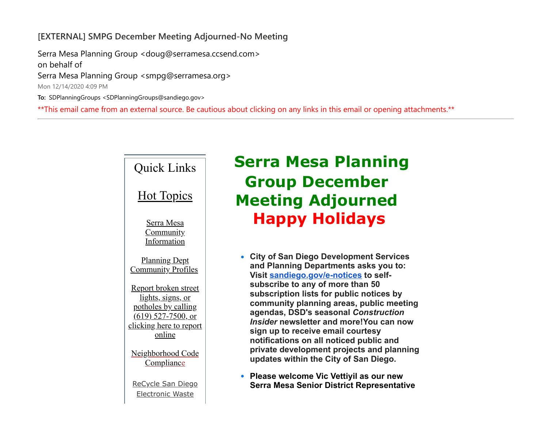## **[EXTERNAL] SMPG December Meeting Adjourned-No Meeting**

Serra Mesa Planning Group <doug@serramesa.ccsend.com> on behalf of Serra Mesa Planning Group <smpg@serramesa.org> Mon 12/14/2020 4:09 PM **To:** SDPlanningGroups <SDPlanningGroups@sandiego.gov>

\*\*This email came from an external source. Be cautious about clicking on any links in this email or opening attachments.\*\*



## **Serra Mesa Planning Group December Meeting Adjourned Happy Holidays**

- **City of San Diego Development Services and Planning Departments asks you to: Visit [sandiego.gov/e-notices](https://urldefense.com/v3/__http://r20.rs6.net/tn.jsp?f=001Oof5wLG75_q3DYIjYy8iwgwXAdJ3gCOD1fV2gcPLObGJSU3c1quVQ7xD6TeW9Yl5b9Rk-BtNMUdJukWz1GrZsA7sDS69FeWP0eLNiTmF2wuslLwWdTM_3StDKPBBcmMSPh2u_paTP311pS1CwsjK3HuEQXhxBPeZMZ_wuRT9znySVmBV1JbmEIh-hrF8SI62&c=i2Hn8dnNk0XlR-8SqzeKVD8q-VLkkveMq7bwLrr92r0Bqn6YT_saEA==&ch=-A3Y8o-RxRd1U9ara7kwoceOnTYG0qL7LfUuivbj0eAZgpRG-hyjAQ==__;!!OBed2aHXvKmHymw!iakMonA54WYYtR6sH_vdnWaREzmKOBugXfUjD-XHR7nrwe4kOur7-JaT-p6VfZtwF7czb2X89g$) to selfsubscribe to any of more than 50 subscription lists for public notices by community planning areas, public meeting agendas, DSD's seasonal** *Construction Insider* **newsletter and more!You can now sign up to receive email courtesy notifications on all noticed public and private development projects and planning updates within the City of San Diego.**
- **Please welcome Vic Vettiyil as our new Serra Mesa Senior District Representative**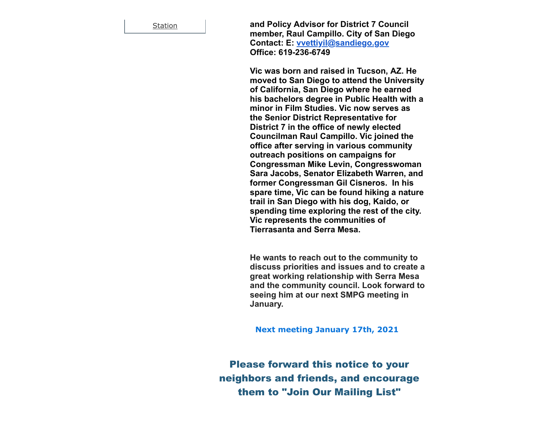[Station](https://urldefense.com/v3/__http://r20.rs6.net/tn.jsp?f=001Oof5wLG75_q3DYIjYy8iwgwXAdJ3gCOD1fV2gcPLObGJSU3c1quVQ66QNEt4w1fpqwW0AX_KIIzwj1wNqLIor-MfQckpp19fIA3kh154iFktGIO8nrvGJ16MUd0ZYvgTZ6HIVflJ-d1Vq2PSBLIRlybLMj2VksngfuoDcGNJnDHgSR_mMIMZEw==&c=i2Hn8dnNk0XlR-8SqzeKVD8q-VLkkveMq7bwLrr92r0Bqn6YT_saEA==&ch=-A3Y8o-RxRd1U9ara7kwoceOnTYG0qL7LfUuivbj0eAZgpRG-hyjAQ==__;!!OBed2aHXvKmHymw!iakMonA54WYYtR6sH_vdnWaREzmKOBugXfUjD-XHR7nrwe4kOur7-JaT-p6VfZtwF7f4R-mSGg$) **and Policy Advisor for District 7 Council member, Raul Campillo. City of San Diego Contact: E: [vvettiyil@sandiego.gov](mailto:vvettiyil@sandiego.gov) Office: 619-236-6749**

> **Vic was born and raised in Tucson, AZ. He moved to San Diego to attend the University of California, San Diego where he earned his bachelors degree in Public Health with a minor in Film Studies. Vic now serves as the Senior District Representative for District 7 in the office of newly elected Councilman Raul Campillo. Vic joined the office after serving in various community outreach positions on campaigns for Congressman Mike Levin, Congresswoman Sara Jacobs, Senator Elizabeth Warren, and former Congressman Gil Cisneros. In his spare time, Vic can be found hiking a nature trail in San Diego with his dog, Kaido, or spending time exploring the rest of the city. Vic represents the communities of Tierrasanta and Serra Mesa.**

> **He wants to reach out to the community to discuss priorities and issues and to create a great working relationship with Serra Mesa and the community council. Look forward to seeing him at our next SMPG meeting in January.**

**Next meeting January 17th, 2021**

Please forward this notice to your neighbors and friends, and encourage them to "Join Our Mailing List"